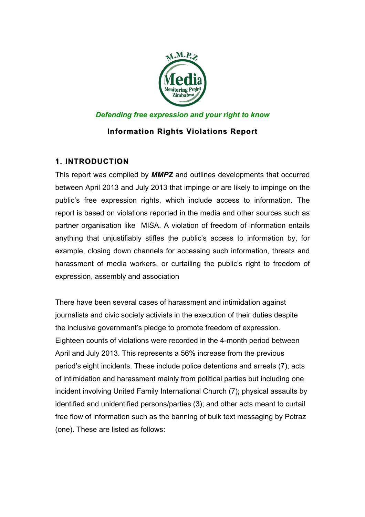

## *Defending free expression and your right to know*

## **Information Rights Violations Report Information Rights Violations Report**

## **1. INTRODUCTION**

This report was compiled by *MMPZ* and outlines developments that occurred between April 2013 and July 2013 that impinge or are likely to impinge on the public's free expression rights, which include access to information. The report is based on violations reported in the media and other sources such as partner organisation like MISA. A violation of freedom of information entails anything that unjustifiably stifles the public's access to information by, for example, closing down channels for accessing such information, threats and harassment of media workers, or curtailing the public's right to freedom of expression, assembly and association

There have been several cases of harassment and intimidation against journalists and civic society activists in the execution of their duties despite the inclusive government's pledge to promote freedom of expression. Eighteen counts of violations were recorded in the 4-month period between April and July 2013. This represents a 56% increase from the previous period's eight incidents. These include police detentions and arrests (7); acts of intimidation and harassment mainly from political parties but including one incident involving United Family International Church (7); physical assaults by identified and unidentified persons/parties (3); and other acts meant to curtail free flow of information such as the banning of bulk text messaging by Potraz (one). These are listed as follows: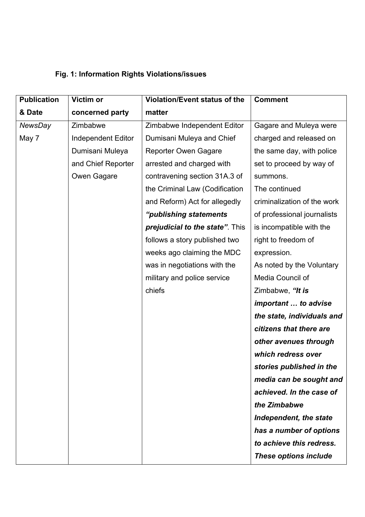## **Fig. 1: Information Rights Violations/issues**

| <b>Publication</b> | Victim or                 | Violation/Event status of the   | <b>Comment</b>              |
|--------------------|---------------------------|---------------------------------|-----------------------------|
| & Date             | concerned party           | matter                          |                             |
| NewsDay            | Zimbabwe                  | Zimbabwe Independent Editor     | Gagare and Muleya were      |
| May 7              | <b>Independent Editor</b> | Dumisani Muleya and Chief       | charged and released on     |
|                    | Dumisani Muleya           | <b>Reporter Owen Gagare</b>     | the same day, with police   |
|                    | and Chief Reporter        | arrested and charged with       | set to proceed by way of    |
|                    | Owen Gagare               | contravening section 31A.3 of   | summons.                    |
|                    |                           | the Criminal Law (Codification  | The continued               |
|                    |                           | and Reform) Act for allegedly   | criminalization of the work |
|                    |                           | "publishing statements          | of professional journalists |
|                    |                           | prejudicial to the state". This | is incompatible with the    |
|                    |                           | follows a story published two   | right to freedom of         |
|                    |                           | weeks ago claiming the MDC      | expression.                 |
|                    |                           | was in negotiations with the    | As noted by the Voluntary   |
|                    |                           | military and police service     | Media Council of            |
|                    |                           | chiefs                          | Zimbabwe, "It is            |
|                    |                           |                                 | important  to advise        |
|                    |                           |                                 | the state, individuals and  |
|                    |                           |                                 | citizens that there are     |
|                    |                           |                                 | other avenues through       |
|                    |                           |                                 | which redress over          |
|                    |                           |                                 | stories published in the    |
|                    |                           |                                 | media can be sought and     |
|                    |                           |                                 | achieved. In the case of    |
|                    |                           |                                 | the Zimbabwe                |
|                    |                           |                                 | Independent, the state      |
|                    |                           |                                 | has a number of options     |
|                    |                           |                                 | to achieve this redress.    |
|                    |                           |                                 | These options include       |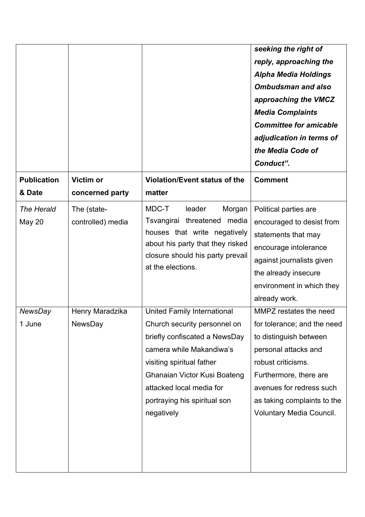|                              |                                  |                                                                                                                                                                                                                                                                        | seeking the right of<br>reply, approaching the<br><b>Alpha Media Holdings</b><br><b>Ombudsman and also</b><br>approaching the VMCZ<br><b>Media Complaints</b><br><b>Committee for amicable</b><br>adjudication in terms of<br>the Media Code of<br>Conduct". |
|------------------------------|----------------------------------|------------------------------------------------------------------------------------------------------------------------------------------------------------------------------------------------------------------------------------------------------------------------|--------------------------------------------------------------------------------------------------------------------------------------------------------------------------------------------------------------------------------------------------------------|
| <b>Publication</b><br>& Date | Victim or<br>concerned party     | <b>Violation/Event status of the</b><br>matter                                                                                                                                                                                                                         | <b>Comment</b>                                                                                                                                                                                                                                               |
| The Herald<br><b>May 20</b>  | The (state-<br>controlled) media | MDC-T<br>leader<br>Morgan<br>Tsvangirai threatened media<br>houses that write negatively<br>about his party that they risked<br>closure should his party prevail<br>at the elections.                                                                                  | Political parties are<br>encouraged to desist from<br>statements that may<br>encourage intolerance<br>against journalists given<br>the already insecure<br>environment in which they<br>already work.                                                        |
| <b>NewsDay</b><br>1 June     | Henry Maradzika<br>NewsDay       | <b>United Family International</b><br>Church security personnel on<br>briefly confiscated a NewsDay<br>camera while Makandiwa's<br>visiting spiritual father<br>Ghanaian Victor Kusi Boateng<br>attacked local media for<br>portraying his spiritual son<br>negatively | MMPZ restates the need<br>for tolerance; and the need<br>to distinguish between<br>personal attacks and<br>robust criticisms.<br>Furthermore, there are<br>avenues for redress such<br>as taking complaints to the<br><b>Voluntary Media Council.</b>        |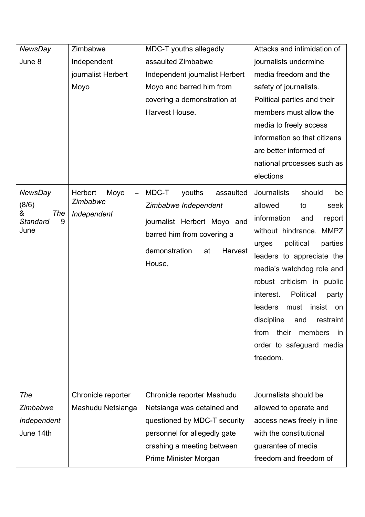| <b>NewsDay</b>                                                      | Zimbabwe                                   | MDC-T youths allegedly                                                                                                                                        | Attacks and intimidation of                                                                                                                                                                                                                                                                                                                                                                                                                            |
|---------------------------------------------------------------------|--------------------------------------------|---------------------------------------------------------------------------------------------------------------------------------------------------------------|--------------------------------------------------------------------------------------------------------------------------------------------------------------------------------------------------------------------------------------------------------------------------------------------------------------------------------------------------------------------------------------------------------------------------------------------------------|
| June 8                                                              | Independent                                | assaulted Zimbabwe                                                                                                                                            | journalists undermine                                                                                                                                                                                                                                                                                                                                                                                                                                  |
|                                                                     | journalist Herbert                         | Independent journalist Herbert                                                                                                                                | media freedom and the                                                                                                                                                                                                                                                                                                                                                                                                                                  |
|                                                                     | Moyo                                       | Moyo and barred him from                                                                                                                                      | safety of journalists.                                                                                                                                                                                                                                                                                                                                                                                                                                 |
|                                                                     |                                            | covering a demonstration at                                                                                                                                   | Political parties and their                                                                                                                                                                                                                                                                                                                                                                                                                            |
|                                                                     |                                            | Harvest House.                                                                                                                                                | members must allow the                                                                                                                                                                                                                                                                                                                                                                                                                                 |
|                                                                     |                                            |                                                                                                                                                               | media to freely access                                                                                                                                                                                                                                                                                                                                                                                                                                 |
|                                                                     |                                            |                                                                                                                                                               | information so that citizens                                                                                                                                                                                                                                                                                                                                                                                                                           |
|                                                                     |                                            |                                                                                                                                                               | are better informed of                                                                                                                                                                                                                                                                                                                                                                                                                                 |
|                                                                     |                                            |                                                                                                                                                               | national processes such as                                                                                                                                                                                                                                                                                                                                                                                                                             |
|                                                                     |                                            |                                                                                                                                                               | elections                                                                                                                                                                                                                                                                                                                                                                                                                                              |
| <b>NewsDay</b><br>(8/6)<br>&<br>The<br><b>Standard</b><br>9<br>June | Herbert<br>Moyo<br>Zimbabwe<br>Independent | MDC-T<br>youths<br>assaulted<br>Zimbabwe Independent<br>journalist Herbert Moyo and<br>barred him from covering a<br>demonstration<br>at<br>Harvest<br>House, | <b>Journalists</b><br>should<br>be<br>allowed<br>seek<br>to<br>information<br>and<br>report<br>MMPZ<br>without hindrance.<br>political<br>parties<br>urges<br>leaders to appreciate the<br>media's watchdog role and<br>robust criticism in public<br><b>Political</b><br>interest.<br>party<br>must<br>insist<br><b>leaders</b><br>on<br>discipline<br>and restraint<br>their<br>from<br>members<br><i>in</i><br>order to safeguard media<br>freedom. |
| The                                                                 | Chronicle reporter                         | Chronicle reporter Mashudu                                                                                                                                    | Journalists should be                                                                                                                                                                                                                                                                                                                                                                                                                                  |
| Zimbabwe                                                            | Mashudu Netsianga                          | Netsianga was detained and                                                                                                                                    | allowed to operate and                                                                                                                                                                                                                                                                                                                                                                                                                                 |
| Independent                                                         |                                            | questioned by MDC-T security                                                                                                                                  | access news freely in line                                                                                                                                                                                                                                                                                                                                                                                                                             |
| June 14th                                                           |                                            | personnel for allegedly gate                                                                                                                                  | with the constitutional                                                                                                                                                                                                                                                                                                                                                                                                                                |
|                                                                     |                                            | crashing a meeting between                                                                                                                                    | guarantee of media                                                                                                                                                                                                                                                                                                                                                                                                                                     |
|                                                                     |                                            | Prime Minister Morgan                                                                                                                                         | freedom and freedom of                                                                                                                                                                                                                                                                                                                                                                                                                                 |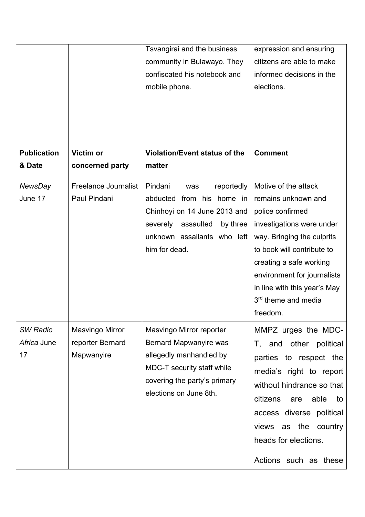|                                      |                                                   | Tsvangirai and the business<br>community in Bulawayo. They<br>confiscated his notebook and<br>mobile phone.                                                                    | expression and ensuring<br>citizens are able to make<br>informed decisions in the<br>elections.                                                                                                                                                                                                   |
|--------------------------------------|---------------------------------------------------|--------------------------------------------------------------------------------------------------------------------------------------------------------------------------------|---------------------------------------------------------------------------------------------------------------------------------------------------------------------------------------------------------------------------------------------------------------------------------------------------|
| <b>Publication</b><br>& Date         | <b>Victim or</b><br>concerned party               | Violation/Event status of the<br>matter                                                                                                                                        | <b>Comment</b>                                                                                                                                                                                                                                                                                    |
| <b>NewsDay</b><br>June 17            | <b>Freelance Journalist</b><br>Paul Pindani       | Pindani<br>reportedly<br>was<br>abducted from his home in<br>Chinhoyi on 14 June 2013 and<br>severely<br>assaulted<br>by three<br>unknown assailants who left<br>him for dead. | Motive of the attack<br>remains unknown and<br>police confirmed<br>investigations were under<br>way. Bringing the culprits<br>to book will contribute to<br>creating a safe working<br>environment for journalists<br>in line with this year's May<br>3 <sup>rd</sup> theme and media<br>freedom. |
| <b>SW Radio</b><br>Africa June<br>17 | Masvingo Mirror<br>reporter Bernard<br>Mapwanyire | Masvingo Mirror reporter<br>Bernard Mapwanyire was<br>allegedly manhandled by<br>MDC-T security staff while<br>covering the party's primary<br>elections on June 8th.          | MMPZ urges the MDC-<br>T, and other political<br>parties to respect the<br>media's right to report<br>without hindrance so that<br>citizens<br>able<br>are<br>to<br>access diverse political<br>the<br>country<br>views<br>as<br>heads for elections.<br>Actions such as these                    |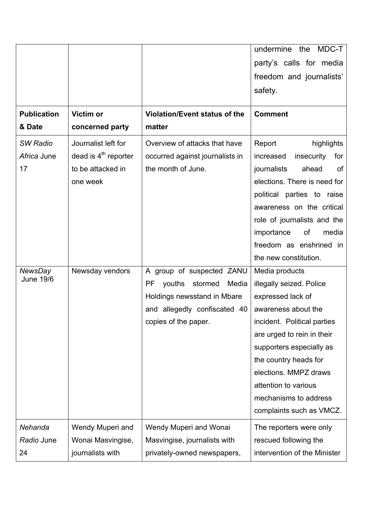|                                    |                        |                                      | undermine the MDC-T            |
|------------------------------------|------------------------|--------------------------------------|--------------------------------|
|                                    |                        |                                      | party's calls for media        |
|                                    |                        |                                      | freedom and journalists'       |
|                                    |                        |                                      | safety.                        |
| <b>Publication</b>                 | Victim or              | <b>Violation/Event status of the</b> | <b>Comment</b>                 |
| & Date                             | concerned party        | matter                               |                                |
| <b>SW Radio</b>                    | Journalist left for    | Overview of attacks that have        | Report<br>highlights           |
| Africa June                        | dead is $4th$ reporter | occurred against journalists in      | insecurity<br>for<br>increased |
| 17                                 | to be attacked in      | the month of June.                   | ahead<br>journalists<br>of     |
|                                    | one week               |                                      | elections. There is need for   |
|                                    |                        |                                      | political parties to raise     |
|                                    |                        |                                      | awareness on the critical      |
|                                    |                        |                                      | role of journalists and the    |
|                                    |                        |                                      | importance<br>of<br>media      |
|                                    |                        |                                      | freedom as enshrined in        |
|                                    |                        |                                      | the new constitution.          |
| <b>NewsDay</b><br><b>June 19/6</b> | Newsday vendors        | A group of suspected ZANU            | Media products                 |
|                                    |                        | youths<br>stormed<br>Media<br>PF     | illegally seized. Police       |
|                                    |                        | Holdings newsstand in Mbare          | expressed lack of              |
|                                    |                        | and allegedly confiscated 40         | awareness about the            |
|                                    |                        | copies of the paper.                 | incident. Political parties    |
|                                    |                        |                                      | are urged to rein in their     |
|                                    |                        |                                      | supporters especially as       |
|                                    |                        |                                      | the country heads for          |
|                                    |                        |                                      | elections. MMPZ draws          |
|                                    |                        |                                      | attention to various           |
|                                    |                        |                                      | mechanisms to address          |
|                                    |                        |                                      | complaints such as VMCZ.       |
| Nehanda                            | Wendy Muperi and       | Wendy Muperi and Wonai               | The reporters were only        |
| Radio June                         | Wonai Masvingise,      | Masvingise, journalists with         | rescued following the          |
| 24                                 | journalists with       | privately-owned newspapers,          | intervention of the Minister   |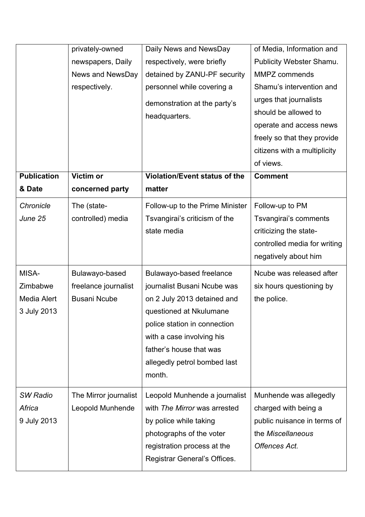|                    | privately-owned       | Daily News and NewsDay               | of Media, Information and    |
|--------------------|-----------------------|--------------------------------------|------------------------------|
|                    | newspapers, Daily     | respectively, were briefly           | Publicity Webster Shamu.     |
|                    | News and NewsDay      | detained by ZANU-PF security         | MMPZ commends                |
|                    | respectively.         | personnel while covering a           | Shamu's intervention and     |
|                    |                       | demonstration at the party's         | urges that journalists       |
|                    |                       | headquarters.                        | should be allowed to         |
|                    |                       |                                      | operate and access news      |
|                    |                       |                                      | freely so that they provide  |
|                    |                       |                                      | citizens with a multiplicity |
|                    |                       |                                      | of views.                    |
| <b>Publication</b> | Victim or             | <b>Violation/Event status of the</b> | <b>Comment</b>               |
| & Date             | concerned party       | matter                               |                              |
| Chronicle          | The (state-           | Follow-up to the Prime Minister      | Follow-up to PM              |
| June 25            | controlled) media     | Tsvangirai's criticism of the        | Tsvangirai's comments        |
|                    |                       | state media                          | criticizing the state-       |
|                    |                       |                                      | controlled media for writing |
|                    |                       |                                      | negatively about him         |
| MISA-              | Bulawayo-based        | Bulawayo-based freelance             | Ncube was released after     |
| Zimbabwe           | freelance journalist  | journalist Busani Ncube was          | six hours questioning by     |
| Media Alert        | <b>Busani Ncube</b>   | on 2 July 2013 detained and          | the police.                  |
| 3 July 2013        |                       | questioned at Nkulumane              |                              |
|                    |                       | police station in connection         |                              |
|                    |                       | with a case involving his            |                              |
|                    |                       | father's house that was              |                              |
|                    |                       | allegedly petrol bombed last         |                              |
|                    |                       | month.                               |                              |
|                    |                       |                                      |                              |
| <b>SW Radio</b>    | The Mirror journalist | Leopold Munhende a journalist        | Munhende was allegedly       |
| Africa             | Leopold Munhende      | with The Mirror was arrested         | charged with being a         |
| 9 July 2013        |                       | by police while taking               | public nuisance in terms of  |
|                    |                       | photographs of the voter             | the Miscellaneous            |
|                    |                       | registration process at the          | Offences Act.                |
|                    |                       | Registrar General's Offices.         |                              |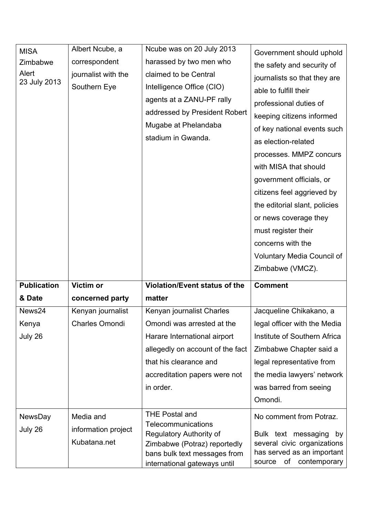| <b>MISA</b><br>Zimbabwe<br>Alert<br>23 July 2013 | Albert Ncube, a<br>correspondent<br>journalist with the<br>Southern Eye | Ncube was on 20 July 2013<br>harassed by two men who<br>claimed to be Central<br>Intelligence Office (CIO)<br>agents at a ZANU-PF rally<br>addressed by President Robert<br>Mugabe at Phelandaba<br>stadium in Gwanda. | Government should uphold<br>the safety and security of<br>journalists so that they are<br>able to fulfill their<br>professional duties of<br>keeping citizens informed<br>of key national events such<br>as election-related<br>processes. MMPZ concurs<br>with MISA that should<br>government officials, or<br>citizens feel aggrieved by<br>the editorial slant, policies<br>or news coverage they<br>must register their<br>concerns with the<br><b>Voluntary Media Council of</b><br>Zimbabwe (VMCZ). |
|--------------------------------------------------|-------------------------------------------------------------------------|------------------------------------------------------------------------------------------------------------------------------------------------------------------------------------------------------------------------|-----------------------------------------------------------------------------------------------------------------------------------------------------------------------------------------------------------------------------------------------------------------------------------------------------------------------------------------------------------------------------------------------------------------------------------------------------------------------------------------------------------|
| <b>Publication</b>                               | Victim or                                                               | Violation/Event status of the                                                                                                                                                                                          | <b>Comment</b>                                                                                                                                                                                                                                                                                                                                                                                                                                                                                            |
| & Date                                           | concerned party                                                         | matter                                                                                                                                                                                                                 |                                                                                                                                                                                                                                                                                                                                                                                                                                                                                                           |
| News24                                           | Kenyan journalist                                                       | Kenyan journalist Charles                                                                                                                                                                                              | Jacqueline Chikakano, a                                                                                                                                                                                                                                                                                                                                                                                                                                                                                   |
| Kenya                                            | <b>Charles Omondi</b>                                                   | Omondi was arrested at the                                                                                                                                                                                             | legal officer with the Media                                                                                                                                                                                                                                                                                                                                                                                                                                                                              |
| July 26                                          |                                                                         | Harare International airport                                                                                                                                                                                           | Institute of Southern Africa                                                                                                                                                                                                                                                                                                                                                                                                                                                                              |
|                                                  |                                                                         | allegedly on account of the fact                                                                                                                                                                                       | Zimbabwe Chapter said a                                                                                                                                                                                                                                                                                                                                                                                                                                                                                   |
|                                                  |                                                                         | that his clearance and                                                                                                                                                                                                 | legal representative from                                                                                                                                                                                                                                                                                                                                                                                                                                                                                 |
|                                                  |                                                                         | accreditation papers were not                                                                                                                                                                                          | the media lawyers' network                                                                                                                                                                                                                                                                                                                                                                                                                                                                                |
|                                                  |                                                                         | in order.                                                                                                                                                                                                              | was barred from seeing                                                                                                                                                                                                                                                                                                                                                                                                                                                                                    |
|                                                  |                                                                         |                                                                                                                                                                                                                        | Omondi.                                                                                                                                                                                                                                                                                                                                                                                                                                                                                                   |
| NewsDay<br>July 26                               | Media and<br>information project<br>Kubatana.net                        | <b>THE Postal and</b><br>Telecommunications<br><b>Regulatory Authority of</b><br>Zimbabwe (Potraz) reportedly<br>bans bulk text messages from<br>international gateways until                                          | No comment from Potraz.<br>Bulk text messaging<br>by<br>several civic organizations<br>has served as an important<br>contemporary<br>Οf<br>source                                                                                                                                                                                                                                                                                                                                                         |